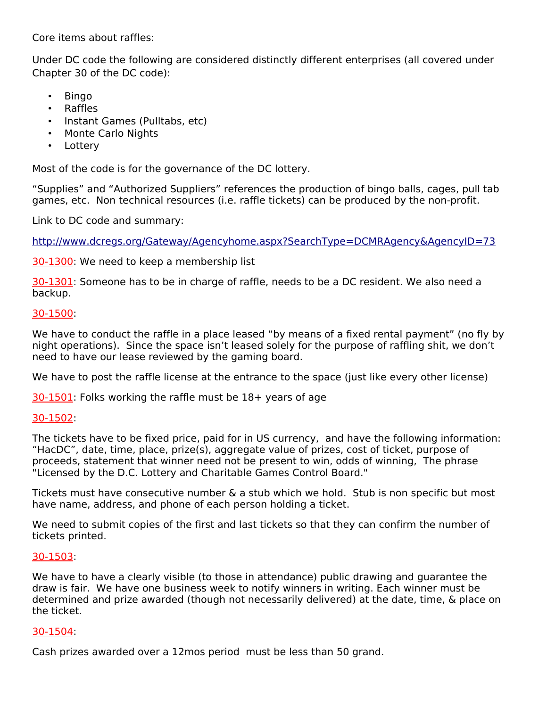Core items about raffles:

Under DC code the following are considered distinctly different enterprises (all covered under Chapter 30 of the DC code):

- Bingo
- Raffles
- Instant Games (Pulltabs, etc)
- Monte Carlo Nights
- Lottery

Most of the code is for the governance of the DC lottery.

"Supplies" and "Authorized Suppliers" references the production of bingo balls, cages, pull tab games, etc. Non technical resources (i.e. raffle tickets) can be produced by the non-profit.

Link to DC code and summary:

<http://www.dcregs.org/Gateway/Agencyhome.aspx?SearchType=DCMRAgency&AgencyID=73>

[30-1300:](http://www.dcregs.org/Notice/DownLoad.aspx?VersionID=70439) We need to keep a membership list

[30-1301:](http://www.dcregs.org/Notice/DownLoad.aspx?VersionID=70536) Someone has to be in charge of raffle, needs to be a DC resident. We also need a backup.

# [30-1500:](http://www.dcregs.org/Notice/DownLoad.aspx?VersionID=72185)

We have to conduct the raffle in a place leased "by means of a fixed rental payment" (no fly by night operations). Since the space isn't leased solely for the purpose of raffling shit, we don't need to have our lease reviewed by the gaming board.

We have to post the raffle license at the entrance to the space (just like every other license)

[30-1501:](http://www.dcregs.org/Notice/DownLoad.aspx?VersionID=72282) Folks working the raffle must be 18+ years of age

# [30-1502:](http://www.dcregs.org/Notice/DownLoad.aspx?VersionID=72379)

The tickets have to be fixed price, paid for in US currency, and have the following information: "HacDC", date, time, place, prize(s), aggregate value of prizes, cost of ticket, purpose of proceeds, statement that winner need not be present to win, odds of winning, The phrase "Licensed by the D.C. Lottery and Charitable Games Control Board."

Tickets must have consecutive number & a stub which we hold. Stub is non specific but most have name, address, and phone of each person holding a ticket.

We need to submit copies of the first and last tickets so that they can confirm the number of tickets printed.

# [30-1503:](http://www.dcregs.org/Notice/DownLoad.aspx?VersionID=72476)

We have to have a clearly visible (to those in attendance) public drawing and guarantee the draw is fair. We have one business week to notify winners in writing. Each winner must be determined and prize awarded (though not necessarily delivered) at the date, time, & place on the ticket.

# [30-1504:](http://www.dcregs.org/Notice/DownLoad.aspx?VersionID=72573)

Cash prizes awarded over a 12mos period must be less than 50 grand.